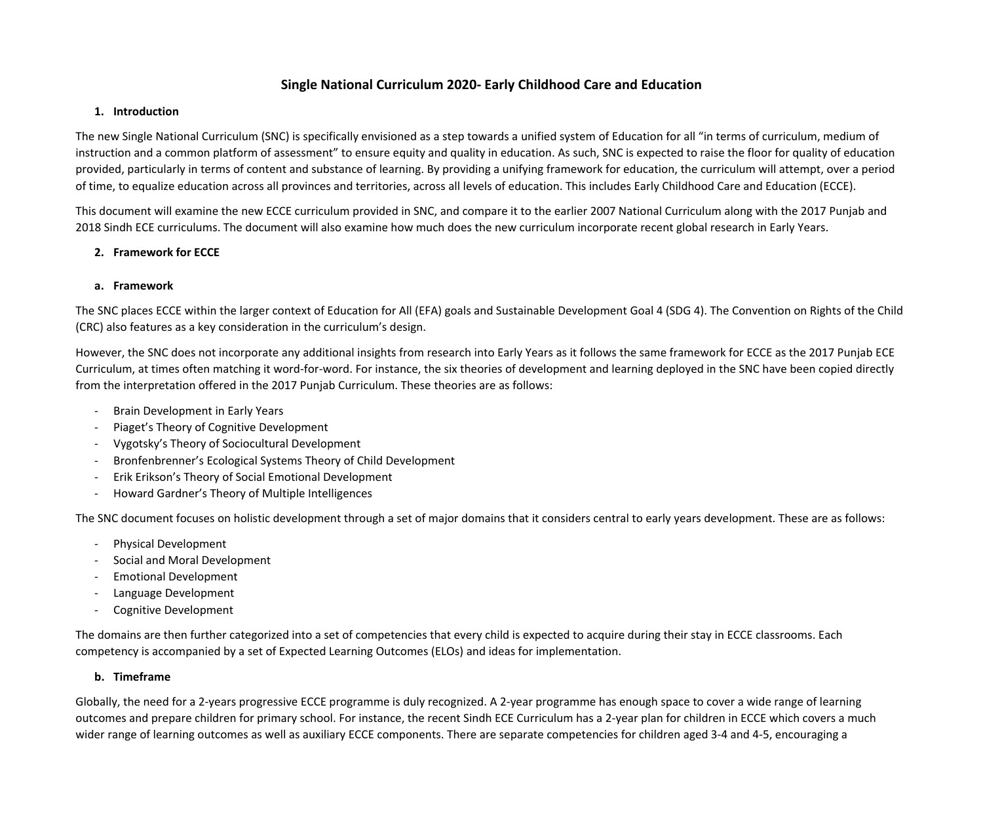# **Single National Curriculum 2020- Early Childhood Care and Education**

#### **1. Introduction**

The new Single National Curriculum (SNC) is specifically envisioned as a step towards a unified system of Education for all "in terms of curriculum, medium of instruction and a common platform of assessment" to ensure equity and quality in education. As such, SNC is expected to raise the floor for quality of education provided, particularly in terms of content and substance of learning. By providing a unifying framework for education, the curriculum will attempt, over a period of time, to equalize education across all provinces and territories, across all levels of education. This includes Early Childhood Care and Education (ECCE).

This document will examine the new ECCE curriculum provided in SNC, and compare it to the earlier 2007 National Curriculum along with the 2017 Punjab and 2018 Sindh ECE curriculums. The document will also examine how much does the new curriculum incorporate recent global research in Early Years.

## **2. Framework for ECCE**

## **a. Framework**

The SNC places ECCE within the larger context of Education for All (EFA) goals and Sustainable Development Goal 4 (SDG 4). The Convention on Rights of the Child (CRC) also features as a key consideration in the curriculum's design.

However, the SNC does not incorporate any additional insights from research into Early Years as it follows the same framework for ECCE as the 2017 Punjab ECE Curriculum, at times often matching it word-for-word. For instance, the six theories of development and learning deployed in the SNC have been copied directly from the interpretation offered in the 2017 Punjab Curriculum. These theories are as follows:

- Brain Development in Early Years
- Piaget's Theory of Cognitive Development
- Vygotsky's Theory of Sociocultural Development
- Bronfenbrenner's Ecological Systems Theory of Child Development
- Erik Erikson's Theory of Social Emotional Development
- Howard Gardner's Theory of Multiple Intelligences

The SNC document focuses on holistic development through a set of major domains that it considers central to early years development. These are as follows:

- Physical Development
- Social and Moral Development
- Emotional Development
- Language Development
- Cognitive Development

The domains are then further categorized into a set of competencies that every child is expected to acquire during their stay in ECCE classrooms. Each competency is accompanied by a set of Expected Learning Outcomes (ELOs) and ideas for implementation.

## **b. Timeframe**

Globally, the need for a 2-years progressive ECCE programme is duly recognized. A 2-year programme has enough space to cover a wide range of learning outcomes and prepare children for primary school. For instance, the recent Sindh ECE Curriculum has a 2-year plan for children in ECCE which covers a much wider range of learning outcomes as well as auxiliary ECCE components. There are separate competencies for children aged 3-4 and 4-5, encouraging a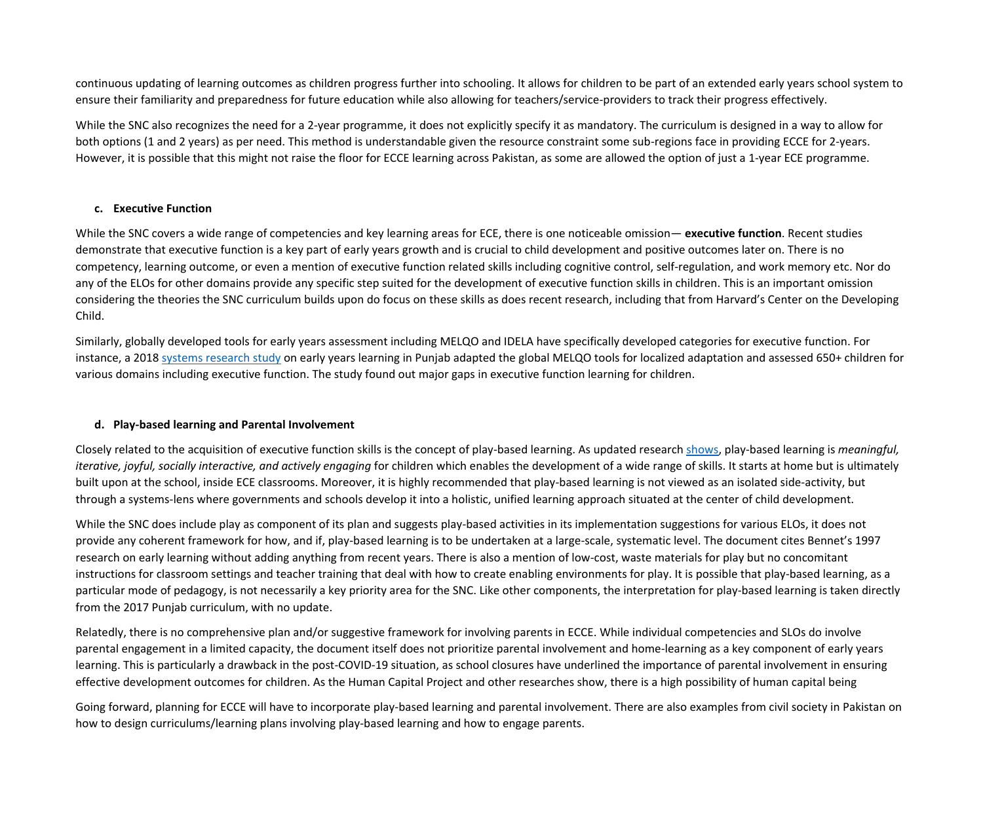continuous updating of learning outcomes as children progress further into schooling. It allows for children to be part of an extended early years school system to ensure their familiarity and preparedness for future education while also allowing for teachers/service-providers to track their progress effectively.

While the SNC also recognizes the need for a 2-year programme, it does not explicitly specify it as mandatory. The curriculum is designed in a way to allow for both options (1 and 2 years) as per need. This method is understandable given the resource constraint some sub-regions face in providing ECCE for 2-years. However, it is possible that this might not raise the floor for ECCE learning across Pakistan, as some are allowed the option of just a 1-year ECE programme.

#### **c. Executive Function**

While the SNC covers a wide range of competencies and key learning areas for ECE, there is one noticeable omission— **executive function**. Recent studies demonstrate that executive function is a key part of early years growth and is crucial to child development and positive outcomes later on. There is no competency, learning outcome, or even a mention of executive function related skills including cognitive control, self-regulation, and work memory etc. Nor do any of the ELOs for other domains provide any specific step suited for the development of executive function skills in children. This is an important omission considering the theories the SNC curriculum builds upon do focus on these skills as does recent research, including that from Harvard's Center on the Developing Child.

Similarly, globally developed tools for early years assessment including MELQO and IDELA have specifically developed categories for executive function. For instance, a 2018 [systems research study](http://itacec.org/document/2020/8/ELP_Brief.pdf) on early years learning in Punjab adapted the global MELQO tools for localized adaptation and assessed 650+ children for various domains including executive function. The study found out major gaps in executive function learning for children.

# **d. Play-based learning and Parental Involvement**

Closely related to the acquisition of executive function skills is the concept of play-based learning. As updated research [shows,](https://www.unicef.org/sites/default/files/2018-12/UNICEF-Lego-Foundation-Learning-through-Play.pdf) play-based learning is *meaningful, iterative, joyful, socially interactive, and actively engaging* for children which enables the development of a wide range of skills. It starts at home but is ultimately built upon at the school, inside ECE classrooms. Moreover, it is highly recommended that play-based learning is not viewed as an isolated side-activity, but through a systems-lens where governments and schools develop it into a holistic, unified learning approach situated at the center of child development.

While the SNC does include play as component of its plan and suggests play-based activities in its implementation suggestions for various ELOs, it does not provide any coherent framework for how, and if, play-based learning is to be undertaken at a large-scale, systematic level. The document cites Bennet's 1997 research on early learning without adding anything from recent years. There is also a mention of low-cost, waste materials for play but no concomitant instructions for classroom settings and teacher training that deal with how to create enabling environments for play. It is possible that play-based learning, as a particular mode of pedagogy, is not necessarily a key priority area for the SNC. Like other components, the interpretation for play-based learning is taken directly from the 2017 Punjab curriculum, with no update.

Relatedly, there is no comprehensive plan and/or suggestive framework for involving parents in ECCE. While individual competencies and SLOs do involve parental engagement in a limited capacity, the document itself does not prioritize parental involvement and home-learning as a key component of early years learning. This is particularly a drawback in the post-COVID-19 situation, as school closures have underlined the importance of parental involvement in ensuring effective development outcomes for children. As the Human Capital Project and other researches show, there is a high possibility of human capital being

Going forward, planning for ECCE will have to incorporate play-based learning and parental involvement. There are also examples from civil society in Pakistan on how to design curriculums/learning plans involving play-based learning and how to engage parents.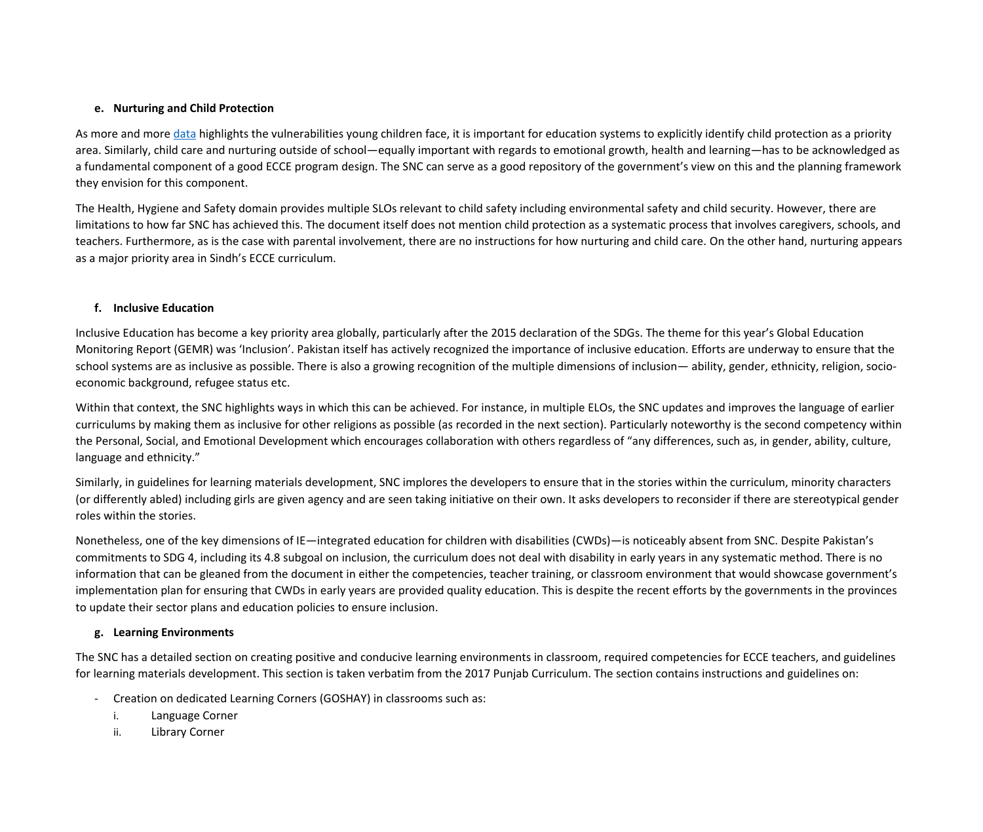#### **e. Nurturing and Child Protection**

As more and more [data](https://data.unicef.org/resources/dataset/child-protection-data/) highlights the vulnerabilities young children face, it is important for education systems to explicitly identify child protection as a priority area. Similarly, child care and nurturing outside of school—equally important with regards to emotional growth, health and learning—has to be acknowledged as a fundamental component of a good ECCE program design. The SNC can serve as a good repository of the government's view on this and the planning framework they envision for this component.

The Health, Hygiene and Safety domain provides multiple SLOs relevant to child safety including environmental safety and child security. However, there are limitations to how far SNC has achieved this. The document itself does not mention child protection as a systematic process that involves caregivers, schools, and teachers. Furthermore, as is the case with parental involvement, there are no instructions for how nurturing and child care. On the other hand, nurturing appears as a major priority area in Sindh's ECCE curriculum.

## **f. Inclusive Education**

Inclusive Education has become a key priority area globally, particularly after the 2015 declaration of the SDGs. The theme for this year's Global Education Monitoring Report (GEMR) was 'Inclusion'. Pakistan itself has actively recognized the importance of inclusive education. Efforts are underway to ensure that the school systems are as inclusive as possible. There is also a growing recognition of the multiple dimensions of inclusion— ability, gender, ethnicity, religion, socioeconomic background, refugee status etc.

Within that context, the SNC highlights ways in which this can be achieved. For instance, in multiple ELOs, the SNC updates and improves the language of earlier curriculums by making them as inclusive for other religions as possible (as recorded in the next section). Particularly noteworthy is the second competency within the Personal, Social, and Emotional Development which encourages collaboration with others regardless of "any differences, such as, in gender, ability, culture, language and ethnicity."

Similarly, in guidelines for learning materials development, SNC implores the developers to ensure that in the stories within the curriculum, minority characters (or differently abled) including girls are given agency and are seen taking initiative on their own. It asks developers to reconsider if there are stereotypical gender roles within the stories.

Nonetheless, one of the key dimensions of IE—integrated education for children with disabilities (CWDs)—is noticeably absent from SNC. Despite Pakistan's commitments to SDG 4, including its 4.8 subgoal on inclusion, the curriculum does not deal with disability in early years in any systematic method. There is no information that can be gleaned from the document in either the competencies, teacher training, or classroom environment that would showcase government's implementation plan for ensuring that CWDs in early years are provided quality education. This is despite the recent efforts by the governments in the provinces to update their sector plans and education policies to ensure inclusion.

## **g. Learning Environments**

The SNC has a detailed section on creating positive and conducive learning environments in classroom, required competencies for ECCE teachers, and guidelines for learning materials development. This section is taken verbatim from the 2017 Punjab Curriculum. The section contains instructions and guidelines on:

- Creation on dedicated Learning Corners (GOSHAY) in classrooms such as:
	- i. Language Corner
	- ii. Library Corner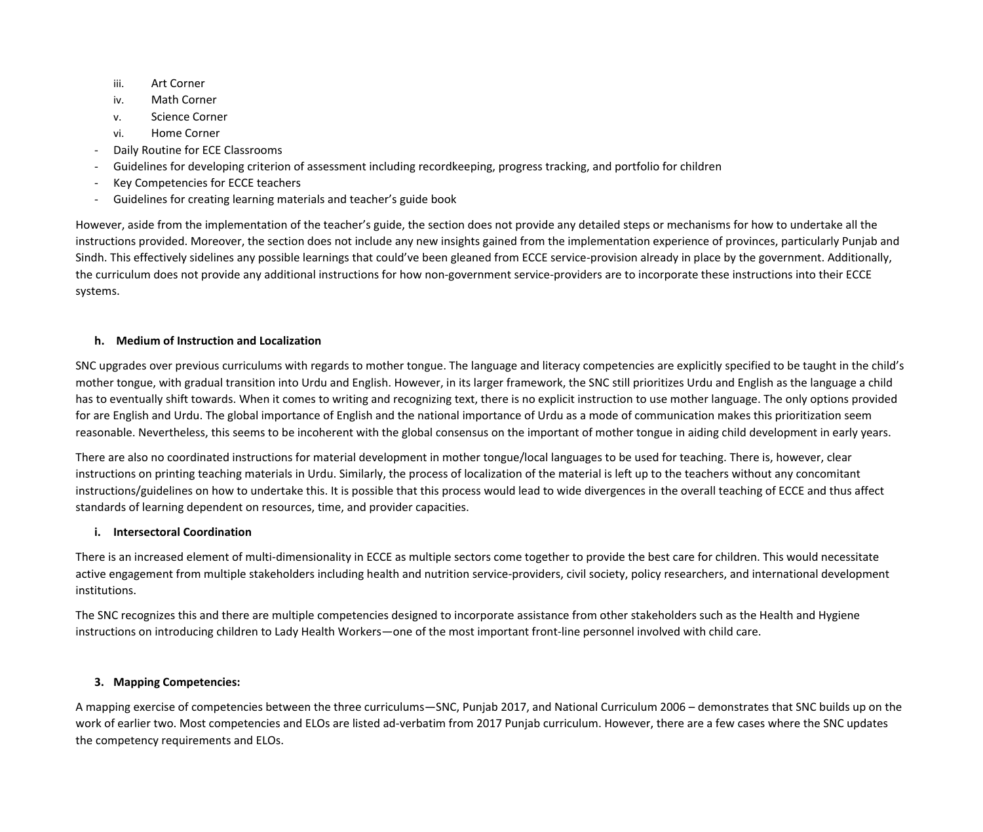- iii. Art Corner
- iv. Math Corner
- v. Science Corner
- vi. Home Corner
- Daily Routine for ECE Classrooms
- Guidelines for developing criterion of assessment including recordkeeping, progress tracking, and portfolio for children
- Key Competencies for ECCE teachers
- Guidelines for creating learning materials and teacher's guide book

However, aside from the implementation of the teacher's guide, the section does not provide any detailed steps or mechanisms for how to undertake all the instructions provided. Moreover, the section does not include any new insights gained from the implementation experience of provinces, particularly Punjab and Sindh. This effectively sidelines any possible learnings that could've been gleaned from ECCE service-provision already in place by the government. Additionally, the curriculum does not provide any additional instructions for how non-government service-providers are to incorporate these instructions into their ECCE systems.

# **h. Medium of Instruction and Localization**

SNC upgrades over previous curriculums with regards to mother tongue. The language and literacy competencies are explicitly specified to be taught in the child's mother tongue, with gradual transition into Urdu and English. However, in its larger framework, the SNC still prioritizes Urdu and English as the language a child has to eventually shift towards. When it comes to writing and recognizing text, there is no explicit instruction to use mother language. The only options provided for are English and Urdu. The global importance of English and the national importance of Urdu as a mode of communication makes this prioritization seem reasonable. Nevertheless, this seems to be incoherent with the global consensus on the important of mother tongue in aiding child development in early years.

There are also no coordinated instructions for material development in mother tongue/local languages to be used for teaching. There is, however, clear instructions on printing teaching materials in Urdu. Similarly, the process of localization of the material is left up to the teachers without any concomitant instructions/guidelines on how to undertake this. It is possible that this process would lead to wide divergences in the overall teaching of ECCE and thus affect standards of learning dependent on resources, time, and provider capacities.

# **i. Intersectoral Coordination**

There is an increased element of multi-dimensionality in ECCE as multiple sectors come together to provide the best care for children. This would necessitate active engagement from multiple stakeholders including health and nutrition service-providers, civil society, policy researchers, and international development institutions.

The SNC recognizes this and there are multiple competencies designed to incorporate assistance from other stakeholders such as the Health and Hygiene instructions on introducing children to Lady Health Workers—one of the most important front-line personnel involved with child care.

# **3. Mapping Competencies:**

A mapping exercise of competencies between the three curriculums—SNC, Punjab 2017, and National Curriculum 2006 – demonstrates that SNC builds up on the work of earlier two. Most competencies and ELOs are listed ad-verbatim from 2017 Punjab curriculum. However, there are a few cases where the SNC updates the competency requirements and ELOs.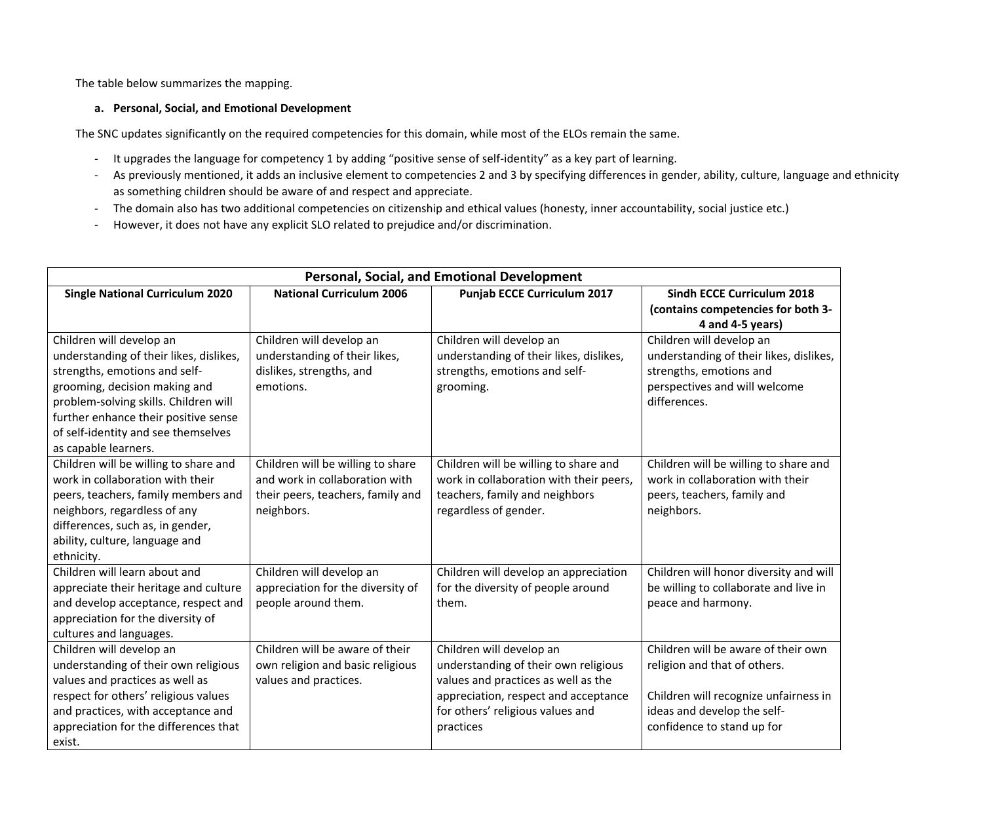The table below summarizes the mapping.

#### **a. Personal, Social, and Emotional Development**

The SNC updates significantly on the required competencies for this domain, while most of the ELOs remain the same.

- It upgrades the language for competency 1 by adding "positive sense of self-identity" as a key part of learning.
- As previously mentioned, it adds an inclusive element to competencies 2 and 3 by specifying differences in gender, ability, culture, language and ethnicity as something children should be aware of and respect and appreciate.
- The domain also has two additional competencies on citizenship and ethical values (honesty, inner accountability, social justice etc.)
- However, it does not have any explicit SLO related to prejudice and/or discrimination.

| <b>Personal, Social, and Emotional Development</b>                                                                                                                                                                                                                                    |                                                                                                                        |                                                                                                                                                                                                  |                                                                                                                                                                           |
|---------------------------------------------------------------------------------------------------------------------------------------------------------------------------------------------------------------------------------------------------------------------------------------|------------------------------------------------------------------------------------------------------------------------|--------------------------------------------------------------------------------------------------------------------------------------------------------------------------------------------------|---------------------------------------------------------------------------------------------------------------------------------------------------------------------------|
| <b>Single National Curriculum 2020</b>                                                                                                                                                                                                                                                | <b>National Curriculum 2006</b>                                                                                        | <b>Punjab ECCE Curriculum 2017</b>                                                                                                                                                               | Sindh ECCE Curriculum 2018<br>(contains competencies for both 3-<br>4 and 4-5 years)                                                                                      |
| Children will develop an<br>understanding of their likes, dislikes,<br>strengths, emotions and self-<br>grooming, decision making and<br>problem-solving skills. Children will<br>further enhance their positive sense<br>of self-identity and see themselves<br>as capable learners. | Children will develop an<br>understanding of their likes,<br>dislikes, strengths, and<br>emotions.                     | Children will develop an<br>understanding of their likes, dislikes,<br>strengths, emotions and self-<br>grooming.                                                                                | Children will develop an<br>understanding of their likes, dislikes,<br>strengths, emotions and<br>perspectives and will welcome<br>differences.                           |
| Children will be willing to share and<br>work in collaboration with their<br>peers, teachers, family members and<br>neighbors, regardless of any<br>differences, such as, in gender,<br>ability, culture, language and<br>ethnicity.                                                  | Children will be willing to share<br>and work in collaboration with<br>their peers, teachers, family and<br>neighbors. | Children will be willing to share and<br>work in collaboration with their peers,<br>teachers, family and neighbors<br>regardless of gender.                                                      | Children will be willing to share and<br>work in collaboration with their<br>peers, teachers, family and<br>neighbors.                                                    |
| Children will learn about and<br>appreciate their heritage and culture<br>and develop acceptance, respect and<br>appreciation for the diversity of<br>cultures and languages.                                                                                                         | Children will develop an<br>appreciation for the diversity of<br>people around them.                                   | Children will develop an appreciation<br>for the diversity of people around<br>them.                                                                                                             | Children will honor diversity and will<br>be willing to collaborate and live in<br>peace and harmony.                                                                     |
| Children will develop an<br>understanding of their own religious<br>values and practices as well as<br>respect for others' religious values<br>and practices, with acceptance and<br>appreciation for the differences that<br>exist.                                                  | Children will be aware of their<br>own religion and basic religious<br>values and practices.                           | Children will develop an<br>understanding of their own religious<br>values and practices as well as the<br>appreciation, respect and acceptance<br>for others' religious values and<br>practices | Children will be aware of their own<br>religion and that of others.<br>Children will recognize unfairness in<br>ideas and develop the self-<br>confidence to stand up for |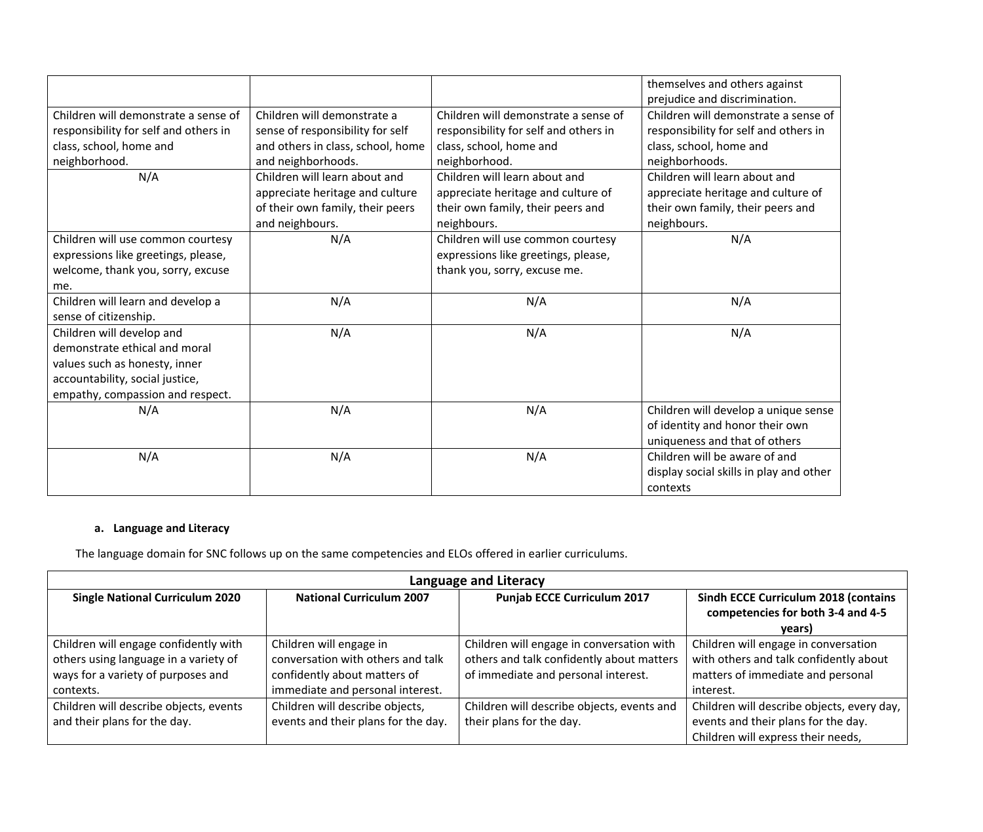|                                       |                                   |                                       | themselves and others against<br>prejudice and discrimination. |
|---------------------------------------|-----------------------------------|---------------------------------------|----------------------------------------------------------------|
| Children will demonstrate a sense of  | Children will demonstrate a       | Children will demonstrate a sense of  | Children will demonstrate a sense of                           |
| responsibility for self and others in | sense of responsibility for self  | responsibility for self and others in | responsibility for self and others in                          |
| class, school, home and               | and others in class, school, home | class, school, home and               | class, school, home and                                        |
| neighborhood.                         | and neighborhoods.                | neighborhood.                         | neighborhoods.                                                 |
| N/A                                   | Children will learn about and     | Children will learn about and         | Children will learn about and                                  |
|                                       | appreciate heritage and culture   | appreciate heritage and culture of    | appreciate heritage and culture of                             |
|                                       | of their own family, their peers  | their own family, their peers and     | their own family, their peers and                              |
|                                       | and neighbours.                   | neighbours.                           | neighbours.                                                    |
| Children will use common courtesy     | N/A                               | Children will use common courtesy     | N/A                                                            |
| expressions like greetings, please,   |                                   | expressions like greetings, please,   |                                                                |
| welcome, thank you, sorry, excuse     |                                   | thank you, sorry, excuse me.          |                                                                |
| me.                                   |                                   |                                       |                                                                |
| Children will learn and develop a     | N/A                               |                                       | N/A                                                            |
|                                       |                                   | N/A                                   |                                                                |
| sense of citizenship.                 |                                   |                                       |                                                                |
| Children will develop and             | N/A                               | N/A                                   | N/A                                                            |
| demonstrate ethical and moral         |                                   |                                       |                                                                |
| values such as honesty, inner         |                                   |                                       |                                                                |
| accountability, social justice,       |                                   |                                       |                                                                |
| empathy, compassion and respect.      |                                   |                                       |                                                                |
| N/A                                   | N/A                               | N/A                                   | Children will develop a unique sense                           |
|                                       |                                   |                                       | of identity and honor their own                                |
|                                       |                                   |                                       | uniqueness and that of others                                  |
| N/A                                   | N/A                               | N/A                                   | Children will be aware of and                                  |
|                                       |                                   |                                       | display social skills in play and other                        |
|                                       |                                   |                                       | contexts                                                       |

# **a. Language and Literacy**

The language domain for SNC follows up on the same competencies and ELOs offered in earlier curriculums.

| <b>Language and Literacy</b>           |                                     |                                            |                                                                                  |
|----------------------------------------|-------------------------------------|--------------------------------------------|----------------------------------------------------------------------------------|
| <b>Single National Curriculum 2020</b> | <b>National Curriculum 2007</b>     | <b>Punjab ECCE Curriculum 2017</b>         | <b>Sindh ECCE Curriculum 2018 (contains</b><br>competencies for both 3-4 and 4-5 |
|                                        |                                     |                                            | years)                                                                           |
| Children will engage confidently with  | Children will engage in             | Children will engage in conversation with  | Children will engage in conversation                                             |
| others using language in a variety of  | conversation with others and talk   | others and talk confidently about matters  | with others and talk confidently about                                           |
| ways for a variety of purposes and     | confidently about matters of        | of immediate and personal interest.        | matters of immediate and personal                                                |
| contexts.                              | immediate and personal interest.    |                                            | interest.                                                                        |
| Children will describe objects, events | Children will describe objects,     | Children will describe objects, events and | Children will describe objects, every day,                                       |
| and their plans for the day.           | events and their plans for the day. | their plans for the day.                   | events and their plans for the day.                                              |
|                                        |                                     |                                            | Children will express their needs,                                               |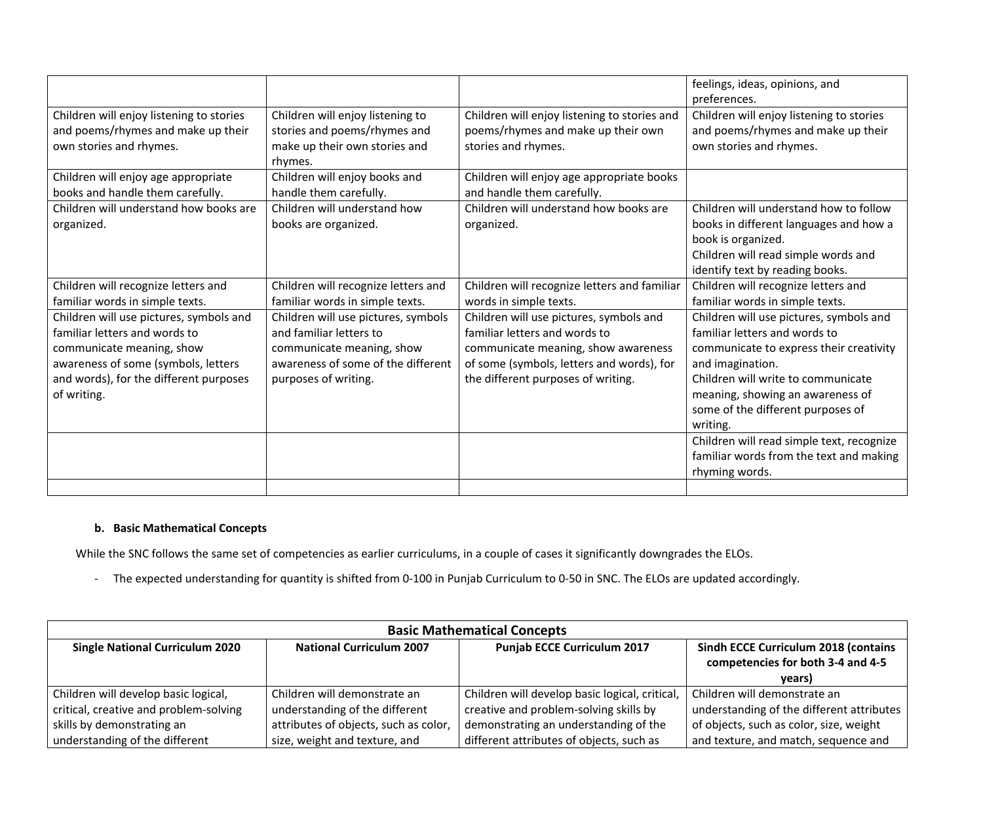|                                          |                                          |                                              | feelings, ideas, opinions, and<br>preferences. |
|------------------------------------------|------------------------------------------|----------------------------------------------|------------------------------------------------|
| Children will enjoy listening to stories | Children will enjoy listening to         | Children will enjoy listening to stories and | Children will enjoy listening to stories       |
| and poems/rhymes and make up their       | stories and poems/rhymes and             | poems/rhymes and make up their own           | and poems/rhymes and make up their             |
| own stories and rhymes.                  | make up their own stories and<br>rhymes. | stories and rhymes.                          | own stories and rhymes.                        |
| Children will enjoy age appropriate      | Children will enjoy books and            | Children will enjoy age appropriate books    |                                                |
| books and handle them carefully.         | handle them carefully.                   | and handle them carefully.                   |                                                |
| Children will understand how books are   | Children will understand how             | Children will understand how books are       | Children will understand how to follow         |
| organized.                               | books are organized.                     | organized.                                   | books in different languages and how a         |
|                                          |                                          |                                              | book is organized.                             |
|                                          |                                          |                                              | Children will read simple words and            |
|                                          |                                          |                                              | identify text by reading books.                |
| Children will recognize letters and      | Children will recognize letters and      | Children will recognize letters and familiar | Children will recognize letters and            |
| familiar words in simple texts.          | familiar words in simple texts.          | words in simple texts.                       | familiar words in simple texts.                |
| Children will use pictures, symbols and  | Children will use pictures, symbols      | Children will use pictures, symbols and      | Children will use pictures, symbols and        |
| familiar letters and words to            | and familiar letters to                  | familiar letters and words to                | familiar letters and words to                  |
| communicate meaning, show                | communicate meaning, show                | communicate meaning, show awareness          | communicate to express their creativity        |
| awareness of some (symbols, letters      | awareness of some of the different       | of some (symbols, letters and words), for    | and imagination.                               |
| and words), for the different purposes   | purposes of writing.                     | the different purposes of writing.           | Children will write to communicate             |
| of writing.                              |                                          |                                              | meaning, showing an awareness of               |
|                                          |                                          |                                              | some of the different purposes of              |
|                                          |                                          |                                              | writing.                                       |
|                                          |                                          |                                              | Children will read simple text, recognize      |
|                                          |                                          |                                              | familiar words from the text and making        |
|                                          |                                          |                                              | rhyming words.                                 |
|                                          |                                          |                                              |                                                |

# **b. Basic Mathematical Concepts**

While the SNC follows the same set of competencies as earlier curriculums, in a couple of cases it significantly downgrades the ELOs.

- The expected understanding for quantity is shifted from 0-100 in Punjab Curriculum to 0-50 in SNC. The ELOs are updated accordingly.

| <b>Basic Mathematical Concepts</b>     |                                       |                                                |                                                                                  |
|----------------------------------------|---------------------------------------|------------------------------------------------|----------------------------------------------------------------------------------|
| <b>Single National Curriculum 2020</b> | <b>National Curriculum 2007</b>       | <b>Punjab ECCE Curriculum 2017</b>             | <b>Sindh ECCE Curriculum 2018 (contains</b><br>competencies for both 3-4 and 4-5 |
|                                        |                                       |                                                | vears)                                                                           |
| Children will develop basic logical,   | Children will demonstrate an          | Children will develop basic logical, critical, | Children will demonstrate an                                                     |
| critical, creative and problem-solving | understanding of the different        | creative and problem-solving skills by         | understanding of the different attributes                                        |
| skills by demonstrating an             | attributes of objects, such as color, | demonstrating an understanding of the          | of objects, such as color, size, weight                                          |
| understanding of the different         | size, weight and texture, and         | different attributes of objects, such as       | and texture, and match, sequence and                                             |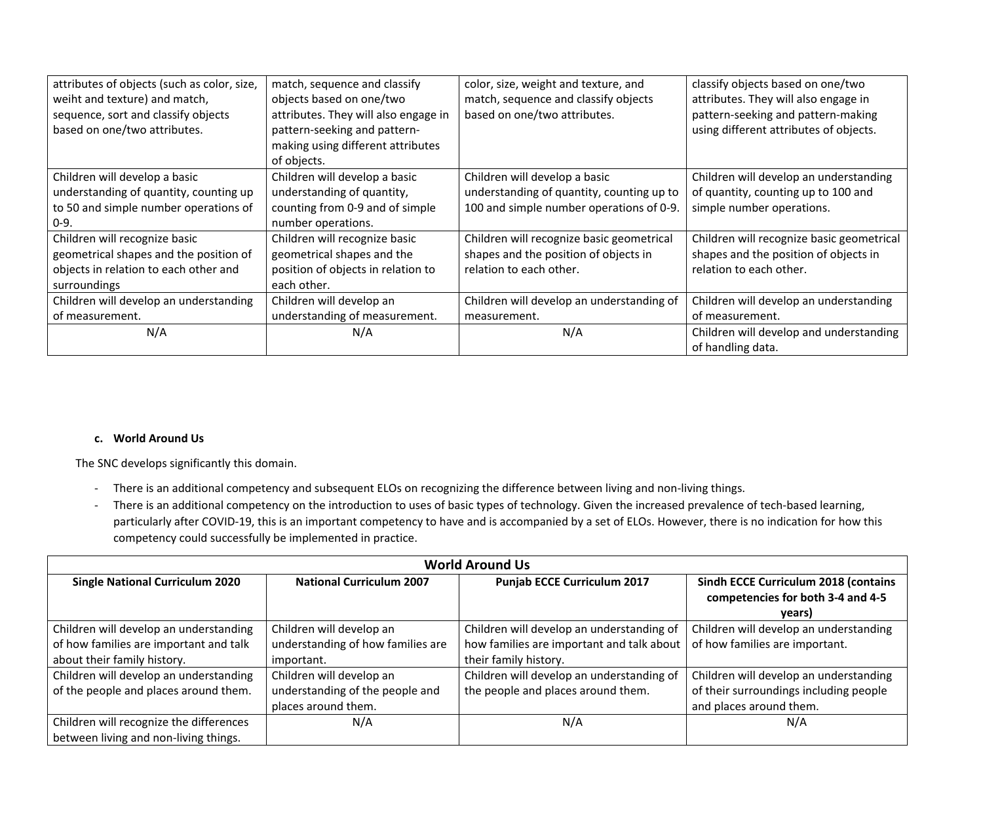| attributes of objects (such as color, size, | match, sequence and classify         | color, size, weight and texture, and      | classify objects based on one/two         |
|---------------------------------------------|--------------------------------------|-------------------------------------------|-------------------------------------------|
|                                             |                                      |                                           |                                           |
| weiht and texture) and match,               | objects based on one/two             | match, sequence and classify objects      | attributes. They will also engage in      |
| sequence, sort and classify objects         | attributes. They will also engage in | based on one/two attributes.              | pattern-seeking and pattern-making        |
| based on one/two attributes.                | pattern-seeking and pattern-         |                                           | using different attributes of objects.    |
|                                             | making using different attributes    |                                           |                                           |
|                                             | of objects.                          |                                           |                                           |
| Children will develop a basic               | Children will develop a basic        | Children will develop a basic             | Children will develop an understanding    |
| understanding of quantity, counting up      | understanding of quantity,           | understanding of quantity, counting up to | of quantity, counting up to 100 and       |
| to 50 and simple number operations of       | counting from 0-9 and of simple      | 100 and simple number operations of 0-9.  | simple number operations.                 |
| $0-9.$                                      | number operations.                   |                                           |                                           |
| Children will recognize basic               | Children will recognize basic        | Children will recognize basic geometrical | Children will recognize basic geometrical |
| geometrical shapes and the position of      | geometrical shapes and the           | shapes and the position of objects in     | shapes and the position of objects in     |
| objects in relation to each other and       | position of objects in relation to   | relation to each other.                   | relation to each other.                   |
| surroundings                                | each other.                          |                                           |                                           |
| Children will develop an understanding      | Children will develop an             | Children will develop an understanding of | Children will develop an understanding    |
| of measurement.                             | understanding of measurement.        | measurement.                              | of measurement.                           |
| N/A                                         | N/A                                  | N/A                                       | Children will develop and understanding   |
|                                             |                                      |                                           | of handling data.                         |

## **c. World Around Us**

The SNC develops significantly this domain.

- There is an additional competency and subsequent ELOs on recognizing the difference between living and non-living things.
- There is an additional competency on the introduction to uses of basic types of technology. Given the increased prevalence of tech-based learning, particularly after COVID-19, this is an important competency to have and is accompanied by a set of ELOs. However, there is no indication for how this competency could successfully be implemented in practice.

| <b>World Around Us</b>                                                |                                                 |                                                                    |                                                                                            |
|-----------------------------------------------------------------------|-------------------------------------------------|--------------------------------------------------------------------|--------------------------------------------------------------------------------------------|
| <b>Single National Curriculum 2020</b>                                | <b>National Curriculum 2007</b>                 | <b>Punjab ECCE Curriculum 2017</b>                                 | <b>Sindh ECCE Curriculum 2018 (contains</b><br>competencies for both 3-4 and 4-5<br>years) |
| Children will develop an understanding                                | Children will develop an                        | Children will develop an understanding of                          | Children will develop an understanding                                                     |
| of how families are important and talk<br>about their family history. | understanding of how families are<br>important. | how families are important and talk about<br>their family history. | of how families are important.                                                             |
| Children will develop an understanding                                | Children will develop an                        | Children will develop an understanding of                          | Children will develop an understanding                                                     |
| of the people and places around them.                                 | understanding of the people and                 | the people and places around them.                                 | of their surroundings including people                                                     |
|                                                                       | places around them.                             |                                                                    | and places around them.                                                                    |
| Children will recognize the differences                               | N/A                                             | N/A                                                                | N/A                                                                                        |
| between living and non-living things.                                 |                                                 |                                                                    |                                                                                            |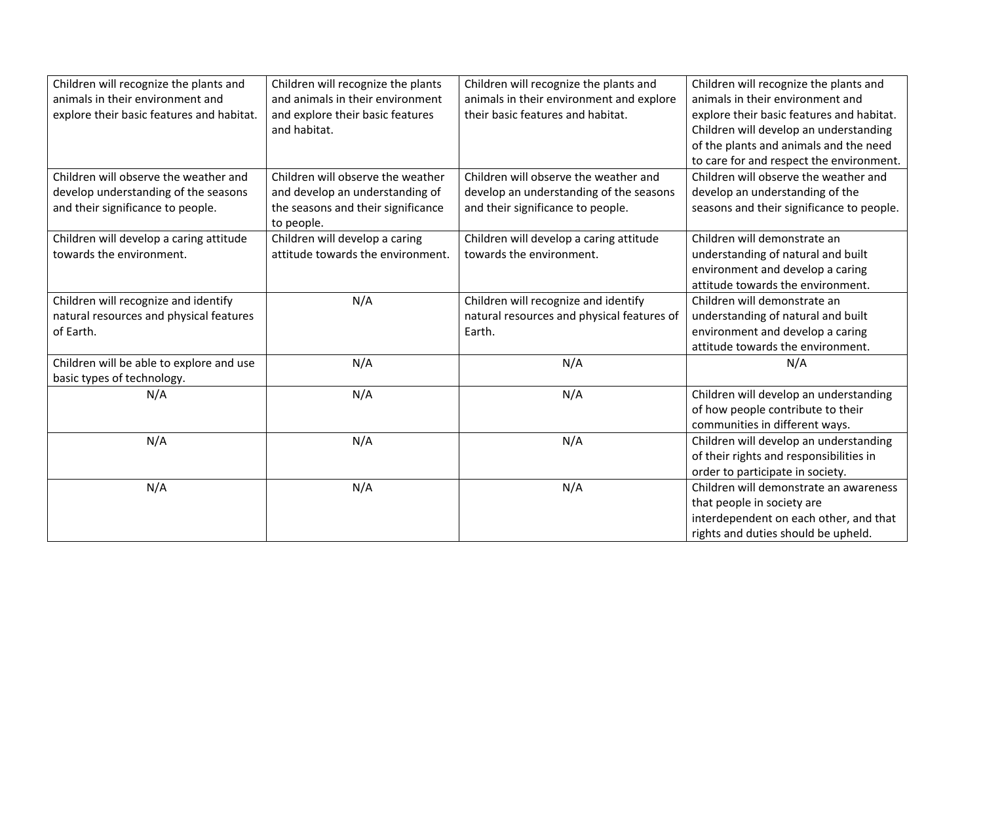| Children will recognize the plants and    | Children will recognize the plants | Children will recognize the plants and     | Children will recognize the plants and    |
|-------------------------------------------|------------------------------------|--------------------------------------------|-------------------------------------------|
| animals in their environment and          | and animals in their environment   | animals in their environment and explore   | animals in their environment and          |
| explore their basic features and habitat. | and explore their basic features   | their basic features and habitat.          | explore their basic features and habitat. |
|                                           | and habitat.                       |                                            | Children will develop an understanding    |
|                                           |                                    |                                            | of the plants and animals and the need    |
|                                           |                                    |                                            | to care for and respect the environment.  |
| Children will observe the weather and     | Children will observe the weather  | Children will observe the weather and      | Children will observe the weather and     |
| develop understanding of the seasons      | and develop an understanding of    | develop an understanding of the seasons    | develop an understanding of the           |
| and their significance to people.         | the seasons and their significance | and their significance to people.          | seasons and their significance to people. |
|                                           | to people.                         |                                            |                                           |
| Children will develop a caring attitude   | Children will develop a caring     | Children will develop a caring attitude    | Children will demonstrate an              |
| towards the environment.                  | attitude towards the environment.  | towards the environment.                   | understanding of natural and built        |
|                                           |                                    |                                            | environment and develop a caring          |
|                                           |                                    |                                            | attitude towards the environment.         |
| Children will recognize and identify      | N/A                                | Children will recognize and identify       | Children will demonstrate an              |
| natural resources and physical features   |                                    | natural resources and physical features of | understanding of natural and built        |
| of Earth.                                 |                                    | Earth.                                     | environment and develop a caring          |
|                                           |                                    |                                            | attitude towards the environment.         |
| Children will be able to explore and use  | N/A                                | N/A                                        | N/A                                       |
| basic types of technology.                |                                    |                                            |                                           |
| N/A                                       | N/A                                | N/A                                        | Children will develop an understanding    |
|                                           |                                    |                                            | of how people contribute to their         |
|                                           |                                    |                                            | communities in different ways.            |
| N/A                                       | N/A                                | N/A                                        | Children will develop an understanding    |
|                                           |                                    |                                            | of their rights and responsibilities in   |
|                                           |                                    |                                            | order to participate in society.          |
| N/A                                       | N/A                                | N/A                                        | Children will demonstrate an awareness    |
|                                           |                                    |                                            | that people in society are                |
|                                           |                                    |                                            | interdependent on each other, and that    |
|                                           |                                    |                                            | rights and duties should be upheld.       |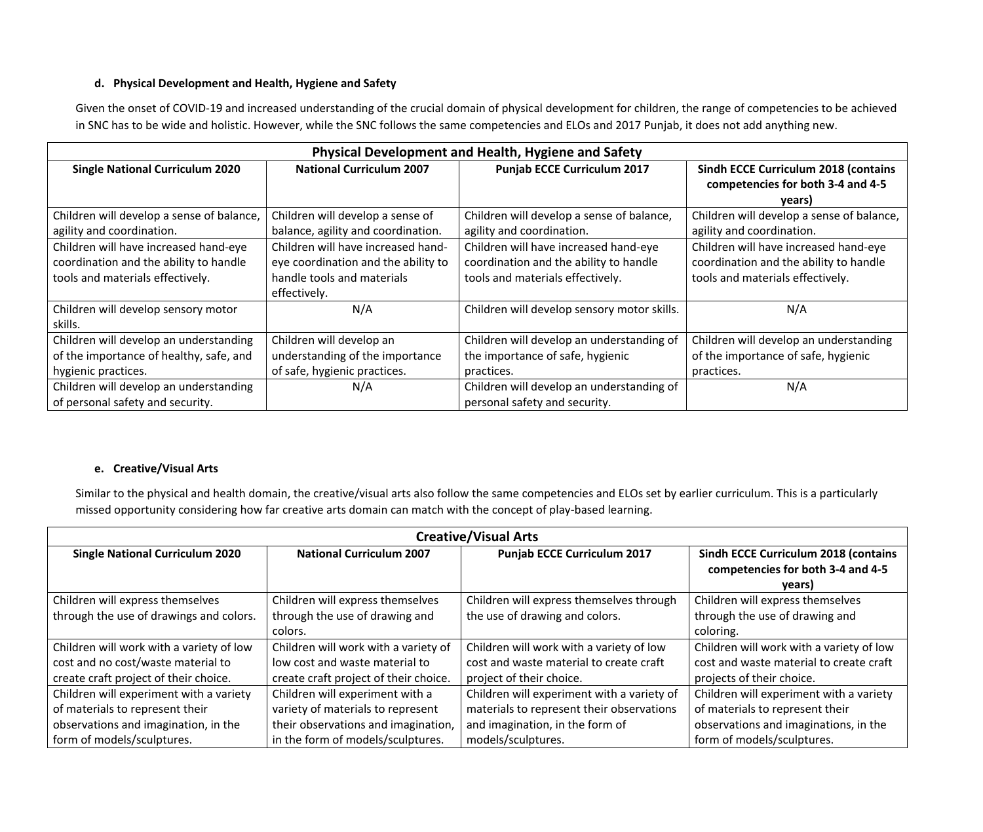## **d. Physical Development and Health, Hygiene and Safety**

Given the onset of COVID-19 and increased understanding of the crucial domain of physical development for children, the range of competencies to be achieved in SNC has to be wide and holistic. However, while the SNC follows the same competencies and ELOs and 2017 Punjab, it does not add anything new.

| Physical Development and Health, Hygiene and Safety |                                     |                                             |                                             |
|-----------------------------------------------------|-------------------------------------|---------------------------------------------|---------------------------------------------|
| <b>Single National Curriculum 2020</b>              | <b>National Curriculum 2007</b>     | <b>Punjab ECCE Curriculum 2017</b>          | <b>Sindh ECCE Curriculum 2018 (contains</b> |
|                                                     |                                     |                                             | competencies for both 3-4 and 4-5           |
|                                                     |                                     |                                             | years)                                      |
| Children will develop a sense of balance,           | Children will develop a sense of    | Children will develop a sense of balance,   | Children will develop a sense of balance,   |
| agility and coordination.                           | balance, agility and coordination.  | agility and coordination.                   | agility and coordination.                   |
| Children will have increased hand-eye               | Children will have increased hand-  | Children will have increased hand-eye       | Children will have increased hand-eye       |
| coordination and the ability to handle              | eye coordination and the ability to | coordination and the ability to handle      | coordination and the ability to handle      |
| tools and materials effectively.                    | handle tools and materials          | tools and materials effectively.            | tools and materials effectively.            |
|                                                     | effectively.                        |                                             |                                             |
| Children will develop sensory motor                 | N/A                                 | Children will develop sensory motor skills. | N/A                                         |
| skills.                                             |                                     |                                             |                                             |
| Children will develop an understanding              | Children will develop an            | Children will develop an understanding of   | Children will develop an understanding      |
| of the importance of healthy, safe, and             | understanding of the importance     | the importance of safe, hygienic            | of the importance of safe, hygienic         |
| hygienic practices.                                 | of safe, hygienic practices.        | practices.                                  | practices.                                  |
| Children will develop an understanding              | N/A                                 | Children will develop an understanding of   | N/A                                         |
| of personal safety and security.                    |                                     | personal safety and security.               |                                             |

## **e. Creative/Visual Arts**

Similar to the physical and health domain, the creative/visual arts also follow the same competencies and ELOs set by earlier curriculum. This is a particularly missed opportunity considering how far creative arts domain can match with the concept of play-based learning.

| <b>Creative/Visual Arts</b>              |                                       |                                            |                                             |
|------------------------------------------|---------------------------------------|--------------------------------------------|---------------------------------------------|
| <b>Single National Curriculum 2020</b>   | <b>National Curriculum 2007</b>       | <b>Punjab ECCE Curriculum 2017</b>         | <b>Sindh ECCE Curriculum 2018 (contains</b> |
|                                          |                                       |                                            | competencies for both 3-4 and 4-5           |
|                                          |                                       |                                            | years)                                      |
| Children will express themselves         | Children will express themselves      | Children will express themselves through   | Children will express themselves            |
| through the use of drawings and colors.  | through the use of drawing and        | the use of drawing and colors.             | through the use of drawing and              |
|                                          | colors.                               |                                            | coloring.                                   |
| Children will work with a variety of low | Children will work with a variety of  | Children will work with a variety of low   | Children will work with a variety of low    |
| cost and no cost/waste material to       | low cost and waste material to        | cost and waste material to create craft    | cost and waste material to create craft     |
| create craft project of their choice.    | create craft project of their choice. | project of their choice.                   | projects of their choice.                   |
| Children will experiment with a variety  | Children will experiment with a       | Children will experiment with a variety of | Children will experiment with a variety     |
| of materials to represent their          | variety of materials to represent     | materials to represent their observations  | of materials to represent their             |
| observations and imagination, in the     | their observations and imagination,   | and imagination, in the form of            | observations and imaginations, in the       |
| form of models/sculptures.               | in the form of models/sculptures.     | models/sculptures.                         | form of models/sculptures.                  |